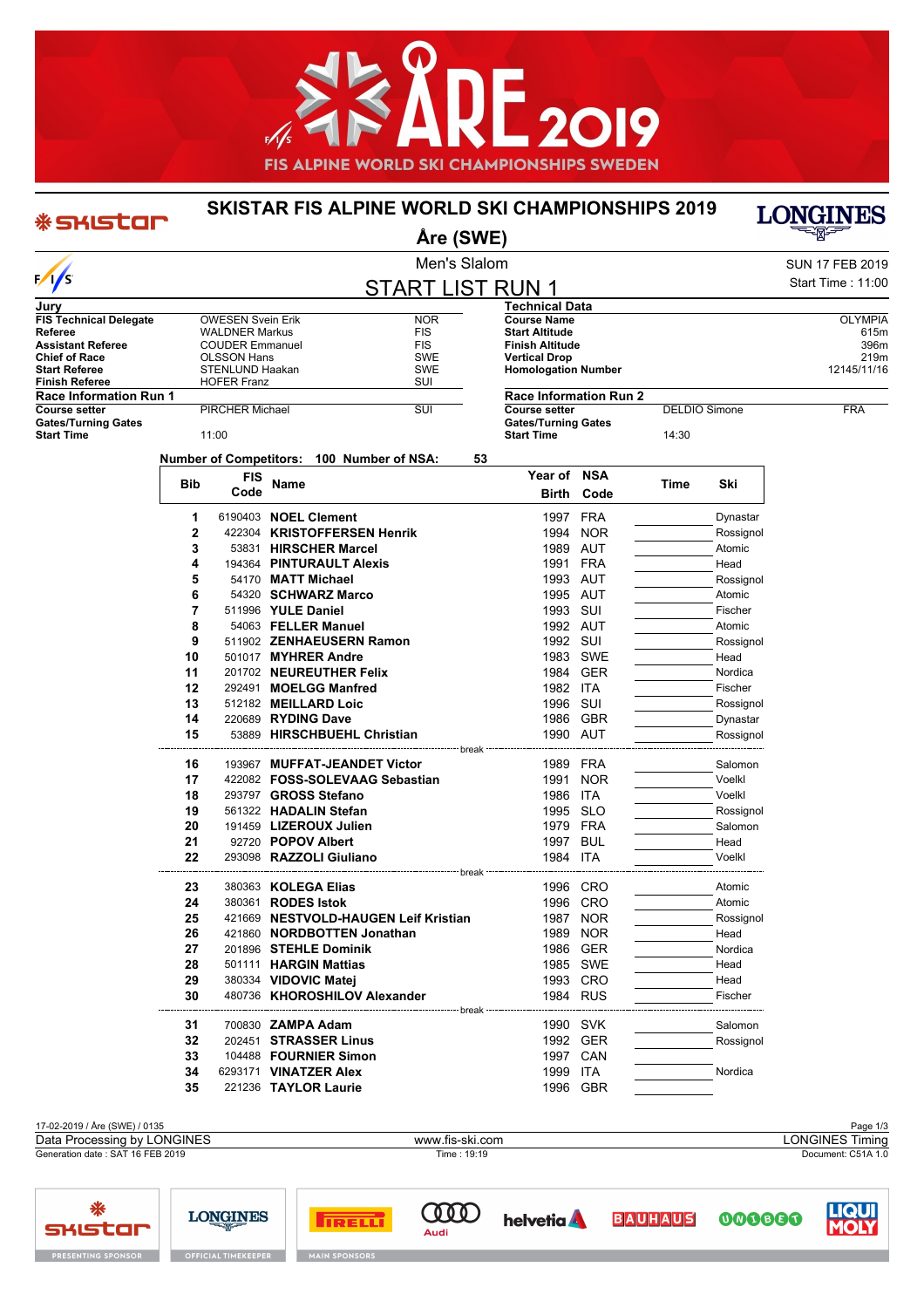

## **SKISTAR FIS ALPINE WORLD SKI CHAMPIONSHIPS 2019 Åre (SWE)**

\* SKISTOF

## LONGINES

|                                                 |                         |                          |                           | Men's Slalom                                    |                               |          |                      |                   | <b>SUN 17 FEB 2019</b> |
|-------------------------------------------------|-------------------------|--------------------------|---------------------------|-------------------------------------------------|-------------------------------|----------|----------------------|-------------------|------------------------|
| $\sqrt{s}$                                      | <b>START LIST RUN 1</b> |                          |                           |                                                 |                               |          |                      | Start Time: 11:00 |                        |
| Jurv                                            |                         |                          |                           |                                                 | <b>Technical Data</b>         |          |                      |                   |                        |
| <b>FIS Technical Delegate</b>                   |                         | <b>OWESEN Svein Erik</b> |                           | <b>NOR</b>                                      | <b>Course Name</b>            |          |                      |                   | <b>OLYMPIA</b>         |
| Referee                                         |                         | <b>WALDNER Markus</b>    |                           | <b>FIS</b>                                      | <b>Start Altitude</b>         |          |                      |                   | 615m                   |
| <b>Assistant Referee</b>                        |                         | <b>COUDER Emmanuel</b>   |                           | FIS                                             | <b>Finish Altitude</b>        |          |                      |                   | 396m                   |
| <b>Chief of Race</b>                            |                         | OLSSON Hans              |                           | SWE                                             | <b>Vertical Drop</b>          |          |                      |                   | 219m                   |
| <b>Start Referee</b>                            |                         | STENLUND Haakan          |                           | SWE                                             | <b>Homologation Number</b>    |          |                      |                   | 12145/11/16            |
| Finish Referee<br><b>Race Information Run 1</b> |                         | <b>HOFER Franz</b>       |                           | SUI                                             | <b>Race Information Run 2</b> |          |                      |                   |                        |
| Course setter                                   | PIRCHER Michael         |                          |                           | SUI                                             | <b>Course setter</b>          |          | <b>DELDIO Simone</b> |                   | <b>FRA</b>             |
| <b>Gates/Turning Gates</b>                      |                         |                          |                           |                                                 | <b>Gates/Turning Gates</b>    |          |                      |                   |                        |
| <b>Start Time</b>                               |                         | 11:00                    |                           |                                                 | <b>Start Time</b>             |          | 14:30                |                   |                        |
|                                                 |                         |                          |                           |                                                 |                               |          |                      |                   |                        |
|                                                 |                         |                          |                           | Number of Competitors: 100 Number of NSA:<br>53 |                               |          |                      |                   |                        |
|                                                 | Bib                     | <b>FIS</b>               | Name                      |                                                 | Year of NSA                   |          | Time                 | Ski               |                        |
|                                                 |                         | Code                     |                           |                                                 | Birth                         | Code     |                      |                   |                        |
|                                                 | 1                       |                          |                           | 6190403 NOEL Clement                            |                               | 1997 FRA |                      | Dynastar          |                        |
|                                                 | 2                       |                          |                           | 422304 KRISTOFFERSEN Henrik                     |                               | 1994 NOR |                      | Rossignol         |                        |
|                                                 | 3                       |                          |                           | 53831 HIRSCHER Marcel                           |                               | 1989 AUT |                      | Atomic            |                        |
|                                                 | 4                       |                          |                           | 194364 PINTURAULT Alexis                        | 1991 FRA                      |          |                      | Head              |                        |
|                                                 | 5                       |                          | 54170 MATT Michael        |                                                 |                               | 1993 AUT |                      | Rossignol         |                        |
|                                                 | 6                       |                          |                           | 54320 SCHWARZ Marco                             |                               | 1995 AUT |                      | Atomic            |                        |
|                                                 | 7                       |                          | 511996 YULE Daniel        |                                                 | 1993 SUI                      |          |                      | Fischer           |                        |
|                                                 | 8                       |                          |                           | 54063 FELLER Manuel                             | 1992 AUT                      |          |                      | Atomic            |                        |
|                                                 | 9                       |                          |                           | 511902 ZENHAEUSERN Ramon                        | 1992 SUI                      |          |                      | Rossignol         |                        |
|                                                 | 10                      |                          |                           | 501017 MYHRER Andre                             |                               | 1983 SWE |                      | Head              |                        |
|                                                 | 11                      |                          |                           | 201702 NEUREUTHER Felix                         |                               | 1984 GER |                      | Nordica           |                        |
|                                                 | 12                      |                          |                           | 292491 MOELGG Manfred                           | 1982 ITA                      |          |                      | Fischer           |                        |
|                                                 | 13                      |                          |                           | 512182 MEILLARD Loic                            | 1996 SUI                      |          |                      | Rossignol         |                        |
|                                                 | 14                      |                          | 220689 RYDING Dave        |                                                 |                               | 1986 GBR |                      | Dynastar          |                        |
|                                                 | 15                      |                          |                           | 53889 HIRSCHBUEHL Christian                     | 1990 AUT                      |          |                      | Rossignol         |                        |
|                                                 |                         |                          |                           | ------------- break <sup>.</sup>                |                               |          |                      |                   |                        |
|                                                 | 16                      |                          |                           | 193967 MUFFAT-JEANDET Victor                    |                               | 1989 FRA |                      | Salomon           |                        |
|                                                 | 17                      |                          |                           | 422082 FOSS-SOLEVAAG Sebastian                  |                               | 1991 NOR |                      | Voelkl            |                        |
|                                                 | 18                      |                          |                           | 293797 GROSS Stefano                            | 1986 ITA                      |          |                      | Voelkl            |                        |
|                                                 | 19                      |                          |                           | 561322 HADALIN Stefan                           |                               | 1995 SLO |                      | Rossignol         |                        |
|                                                 | 20                      |                          |                           | 191459 LIZEROUX Julien                          |                               | 1979 FRA |                      | Salomon           |                        |
|                                                 | 21                      |                          | 92720 POPOV Albert        |                                                 |                               | 1997 BUL |                      | Head              |                        |
|                                                 | 22                      |                          |                           | 293098 RAZZOLI Giuliano                         | 1984 ITA                      |          |                      | Voelkl            |                        |
|                                                 |                         |                          |                           | · break                                         |                               |          |                      |                   |                        |
|                                                 | 23                      |                          |                           | 380363 KOLEGA Elias                             |                               | 1996 CRO |                      | Atomic            |                        |
|                                                 | 24                      |                          | 380361 <b>RODES Istok</b> |                                                 |                               | 1996 CRO |                      | Atomic            |                        |
|                                                 | 25                      |                          |                           | 421669 NESTVOLD-HAUGEN Leif Kristian            |                               | 1987 NOR |                      | Rossignol         |                        |
|                                                 | 26                      |                          |                           | 421860 NORDBOTTEN Jonathan                      |                               | 1989 NOR |                      | Head              |                        |
|                                                 | 27                      |                          |                           | 201896 STEHLE Dominik                           |                               | 1986 GER |                      | Nordica           |                        |
|                                                 | 28                      |                          |                           | 501111 HARGIN Mattias                           |                               | 1985 SWE |                      | Head              |                        |
|                                                 | 29                      |                          |                           | 380334 VIDOVIC Matej                            |                               | 1993 CRO |                      | Head              |                        |
|                                                 | 30                      |                          |                           | 480736 KHOROSHILOV Alexander                    |                               | 1984 RUS |                      | Fischer           |                        |
|                                                 |                         |                          |                           | ---------- break --                             |                               |          |                      |                   |                        |
|                                                 | 31                      |                          | 700830 ZAMPA Adam         |                                                 |                               | 1990 SVK |                      | Salomon           |                        |
|                                                 | 32                      |                          |                           | 202451 STRASSER Linus                           |                               | 1992 GER |                      | Rossignol         |                        |
|                                                 | 33                      |                          |                           | 104488 FOURNIER Simon                           |                               | 1997 CAN |                      |                   |                        |
|                                                 | 34                      |                          |                           | 6293171 <b>VINATZER Alex</b>                    | 1999 ITA                      |          |                      | Nordica           |                        |
|                                                 | 35                      |                          |                           | 221236 TAYLOR Laurie                            |                               | 1996 GBR |                      |                   |                        |
|                                                 |                         |                          |                           |                                                 |                               |          |                      |                   |                        |
|                                                 |                         |                          |                           |                                                 |                               |          |                      |                   |                        |



**helvetia** 

**BAUHAUS** 





000000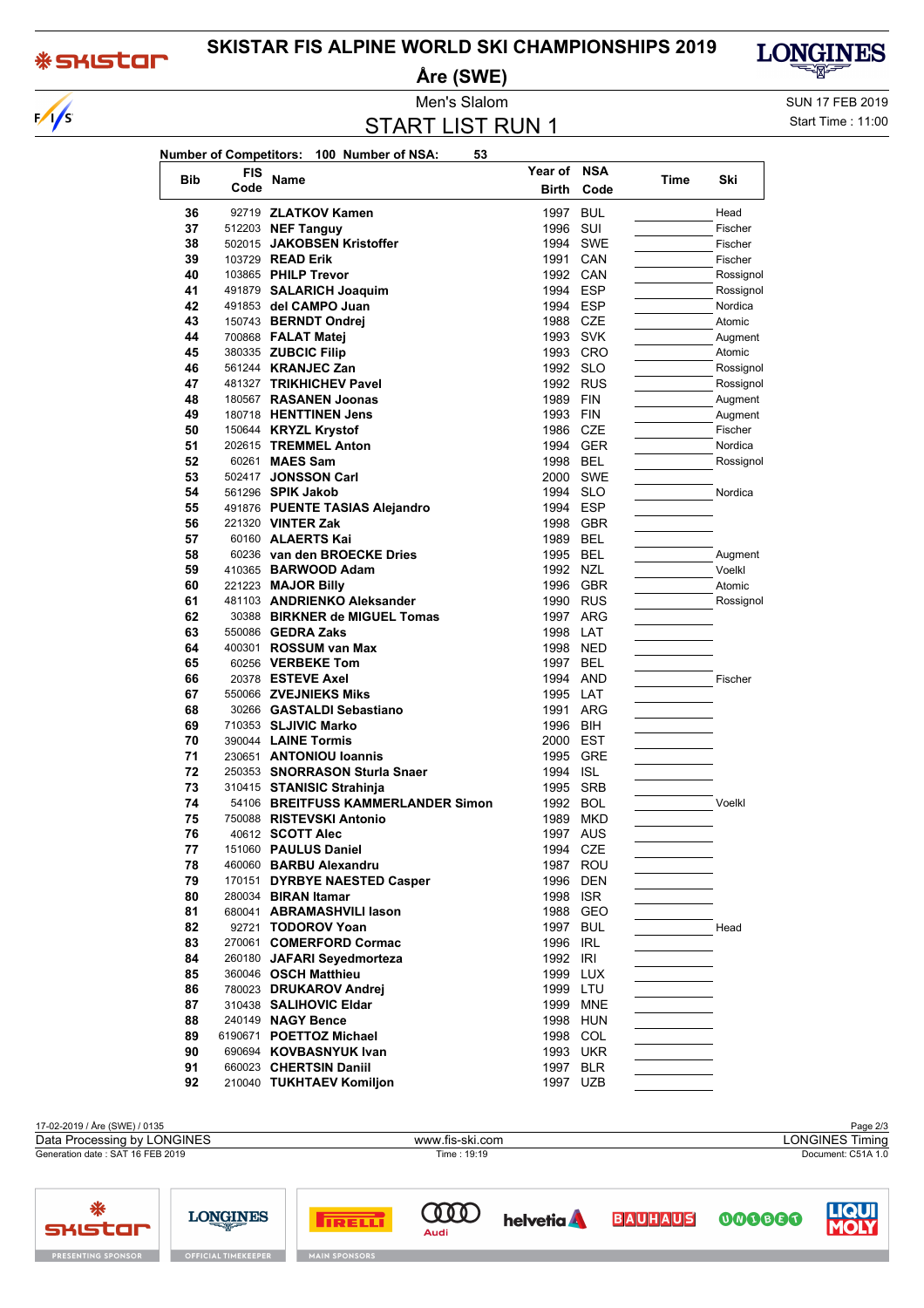## **\*SKISTOM**

**SHISTAR** 

**PRESENTING SPONSOR** 

 $\sqrt{s}$ 

## **SKISTAR FIS ALPINE WORLD SKI CHAMPIONSHIPS 2019**

**Åre (SWE)**



START LIST RUN 1

Men's Slalom Sun 17 FEB 2019 Start Time : 11:00

| Number of Competitors: 100 Number of NSA:<br>53 |      |                                        |              |            |      |                    |
|-------------------------------------------------|------|----------------------------------------|--------------|------------|------|--------------------|
|                                                 | FIS  |                                        | Year of      | <b>NSA</b> |      |                    |
| <b>Bib</b>                                      | Code | <b>Name</b>                            | <b>Birth</b> | Code       | Time | Ski                |
| 36                                              |      | 92719 ZLATKOV Kamen                    | 1997 BUL     |            |      | Head               |
| 37                                              |      | 512203 NEF Tanguy                      | 1996 SUI     |            |      | Fischer            |
| 38                                              |      | 502015 JAKOBSEN Kristoffer             |              | 1994 SWE   |      | Fischer            |
| 39                                              |      | 103729 READ Erik                       | 1991 CAN     |            |      | Fischer            |
| 40                                              |      | 103865 PHILP Trevor                    | 1992 CAN     |            |      | Rossignol          |
| 41                                              |      | 491879 SALARICH Joaquim                | 1994 ESP     |            |      | Rossignol          |
| 42                                              |      | 491853 del CAMPO Juan                  | 1994 ESP     |            |      | Nordica            |
| 43                                              |      | 150743 BERNDT Ondrej                   | 1988 CZE     |            |      | Atomic             |
| 44                                              |      | 700868 FALAT Matej                     | 1993 SVK     |            |      | Augment            |
| 45                                              |      | 380335 ZUBCIC Filip                    |              | 1993 CRO   |      | Atomic             |
| 46                                              |      | 561244 KRANJEC Zan                     | 1992 SLO     |            |      | Rossignol          |
| 47                                              |      | 481327 TRIKHICHEV Pavel                | 1992 RUS     |            |      | Rossignol          |
| 48                                              |      | 180567 RASANEN Joonas                  | 1989 FIN     |            |      | Augment            |
| 49                                              |      | 180718 HENTTINEN Jens                  | 1993 FIN     |            |      |                    |
|                                                 |      |                                        | 1986 CZE     |            |      | Augment<br>Fischer |
| 50<br>51                                        |      | 150644 KRYZL Krystof                   |              | 1994 GER   |      | Nordica            |
|                                                 |      | 202615 TREMMEL Anton<br>60261 MAES Sam |              |            |      |                    |
| 52                                              |      |                                        | 1998 BEL     |            |      | Rossignol          |
| 53                                              |      | 502417 JONSSON Carl                    |              | 2000 SWE   |      |                    |
| 54                                              |      | 561296 SPIK Jakob                      | 1994 SLO     |            |      | Nordica            |
| 55                                              |      | 491876 PUENTE TASIAS Alejandro         | 1994 ESP     |            |      |                    |
| 56                                              |      | 221320 VINTER Zak                      |              | 1998 GBR   |      |                    |
| 57                                              |      | 60160 ALAERTS Kai                      | 1989 BEL     |            |      |                    |
| 58                                              |      | 60236 van den BROECKE Dries            | 1995 BEL     |            |      | Augment            |
| 59                                              |      | 410365 BARWOOD Adam                    | 1992 NZL     |            |      | Voelkl             |
| 60                                              |      | 221223 MAJOR Billy                     |              | 1996 GBR   |      | Atomic             |
| 61                                              |      | 481103 ANDRIENKO Aleksander            |              | 1990 RUS   |      | Rossignol          |
| 62                                              |      | 30388 BIRKNER de MIGUEL Tomas          |              | 1997 ARG   |      |                    |
| 63                                              |      | 550086 <b>GEDRA Zaks</b>               | 1998 LAT     |            |      |                    |
| 64                                              |      | 400301 <b>ROSSUM van Max</b>           | 1998 NED     |            |      |                    |
| 65                                              |      | 60256 VERBEKE Tom                      | 1997 BEL     |            |      |                    |
| 66                                              |      | 20378 ESTEVE Axel                      | 1994 AND     |            |      | Fischer            |
| 67                                              |      | 550066 ZVEJNIEKS Miks                  | 1995 LAT     |            |      |                    |
| 68                                              |      | 30266 GASTALDI Sebastiano              |              | 1991 ARG   |      |                    |
| 69                                              |      | 710353 SLJIVIC Marko                   | 1996 BIH     |            |      |                    |
| 70                                              |      | 390044 <b>LAINE Tormis</b>             | 2000 EST     |            |      |                    |
| 71                                              |      | 230651 ANTONIOU Ioannis                | 1995 GRE     |            |      |                    |
| 72                                              |      | 250353 SNORRASON Sturla Snaer          | 1994 ISL     |            |      |                    |
| 73                                              |      | 310415 STANISIC Strahinja              | 1995 SRB     |            |      |                    |
| 74                                              |      | 54106 BREITFUSS KAMMERLANDER Simon     | 1992 BOL     |            |      | Voelkl             |
| 75                                              |      | 750088 RISTEVSKI Antonio               |              | 1989 MKD   |      |                    |
| 76                                              |      | 40612 <b>SCOTT Alec</b>                | 1997 AUS     |            |      |                    |
| 77                                              |      | 151060 PAULUS Daniel                   | 1994 CZE     |            |      |                    |
| 78                                              |      | 460060 BARBU Alexandru                 |              | 1987 ROU   |      |                    |
| 79                                              |      | 170151 DYRBYE NAESTED Casper           |              | 1996 DEN   |      |                    |
| 80                                              |      | 280034 BIRAN Itamar                    | 1998 ISR     |            |      |                    |
| 81                                              |      | 680041 ABRAMASHVILI lason              |              | 1988 GEO   |      |                    |
| 82                                              |      | 92721 TODOROV Yoan                     | 1997 BUL     |            |      | Head               |
| 83                                              |      | 270061 COMERFORD Cormac                | 1996 IRL     |            |      |                    |
| 84                                              |      | 260180 JAFARI Seyedmorteza             | 1992 IRI     |            |      |                    |
| 85                                              |      | 360046 OSCH Matthieu                   |              | 1999 LUX   |      |                    |
| 86                                              |      | 780023 DRUKAROV Andrej                 | 1999 LTU     |            |      |                    |
| 87                                              |      | 310438 SALIHOVIC Eldar                 |              | 1999 MNE   |      |                    |
| 88                                              |      | 240149 NAGY Bence                      |              | 1998 HUN   |      |                    |
| 89                                              |      | 6190671 POETTOZ Michael                |              | 1998 COL   |      |                    |
| 90                                              |      | 690694 KOVBASNYUK Ivan                 |              | 1993 UKR   |      |                    |
| 91                                              |      | 660023 CHERTSIN Daniil                 |              | 1997 BLR   |      |                    |
| 92                                              |      | 210040 TUKHTAEV Komiljon               | 1997 UZB     |            |      |                    |

17-02-2019 / Åre (SWE) / 0135 Page 2/3<br>
Data Processing by LONGINES **State Processing by LONGINES** Page 2/3 Data Processing by LONGINES www.fis-ski.com Generation date : SAT 16 FEB 2019 Time : 19:19 Document: C51A 1.0 ₩ **COOD LIQUI LONGINES BAUHAUS helvetia TRELL** 

Audi





**OFFICIAL TIMEKEEPER**